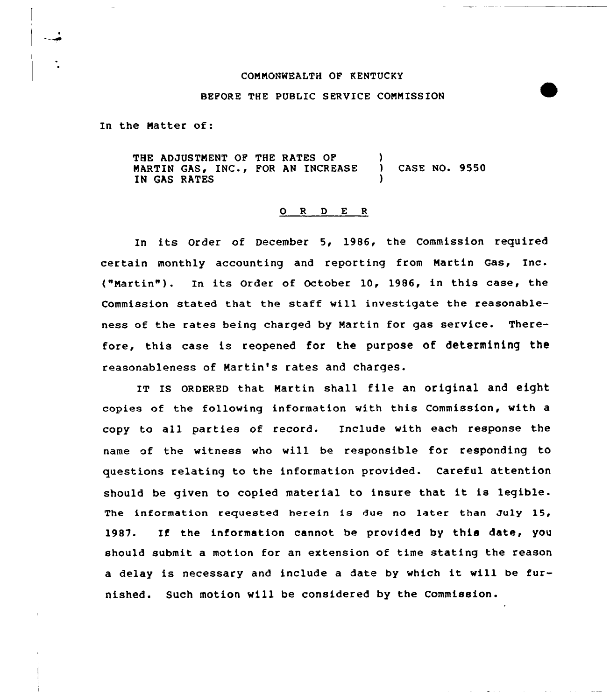## COMMONWEALTH OF KENTUCKY

## BEFORE THE PUBLIC SERUICE CONN ISSION

In the Natter of:

THE ADJUSTNENT OP THE RATES OP ) MARTIN GAS, INC., FOR AN INCREASE ) CASE NO. 9550 IN GAS RATES

## 0 <sup>R</sup> <sup>D</sup> E <sup>R</sup>

In its Order of December 5, 1986, the Commission required certain monthly accounting and reporting from Nartin Gas, Inc. ("Martin"). In its Order of October  $10, 1986$ , in this case, the Commission stated that the staff vill investigate the reasonableness of the rates being charged by Martin for gas service. Therefore, this ease is reopened for the purpose of determining the reasonableness of Martin's rates and charges.

IT Is oRDERED that Martin shall file an original and eight copies of the following information with this Commission, with a copy to all parties of record. Include with each response the name of the witness who will be responsible for responding to questions relating to the information provided. Careful attention should be given to copied material to insure that it is legible. The information requested herein is due no later than July 15, 1987. If the information cannot be provided by this date, you should submit a motion for an extension of time stating the reason <sup>a</sup> delay is necessary and include <sup>a</sup> date by which it will be furnished. Such motion will be considered by the Commission.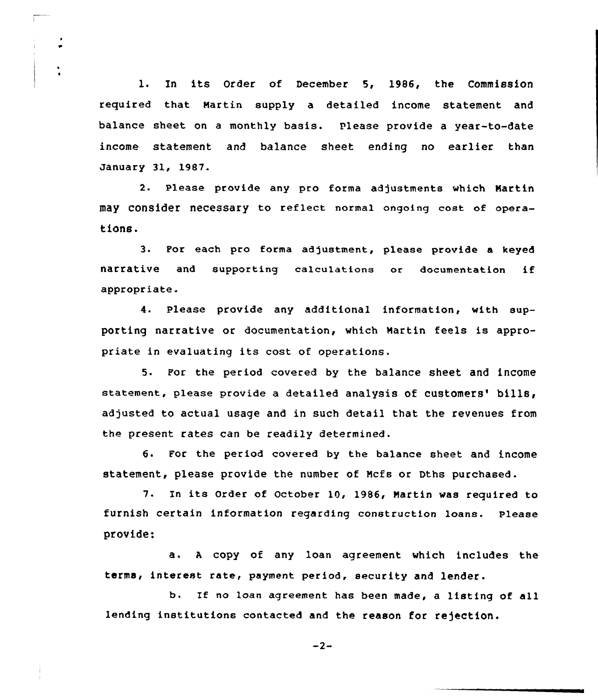l. In its Order of December 5, 1986, the Commission required that martin supply a detailed income statement and balance sheet on <sup>a</sup> monthly basis. Please provide a year-to-date income statement and balance sheet ending no earlier than January 31, 1987.

2. Please provide any pro forma adjustments which Nartin may consider necessary to reflect normal ongoing cost of operations.

3. Por each pro forma adjustment, please provide a keyed narrative and supporting calculations or documentation if appropriate.

4. Please provide any additional information, with supporting narrative or documentation, which Martin feels is appropriate in evaluating its cost of operations.

5. For the period covered by the balance sheet and income statement, please provide a detailed analysis of customers' bills, adjusted to actual usage and in such detail that the revenues from the present rates can be readily determined.

6. For the period covered by the balance sheet and income statement, please provide the number of Mcfs or Dths purchased.

7. In its Order of October 10, 1986, Martin was required to furnish certain information regarding construction loans. please provide:

a. <sup>A</sup> copy of any loan agreement which includes the terms, interest rate, payment period, security and lender.

b. If no loan agreement has been made, <sup>a</sup> listing of all lending institutions contacted and the reason for rejection.

 $-2-$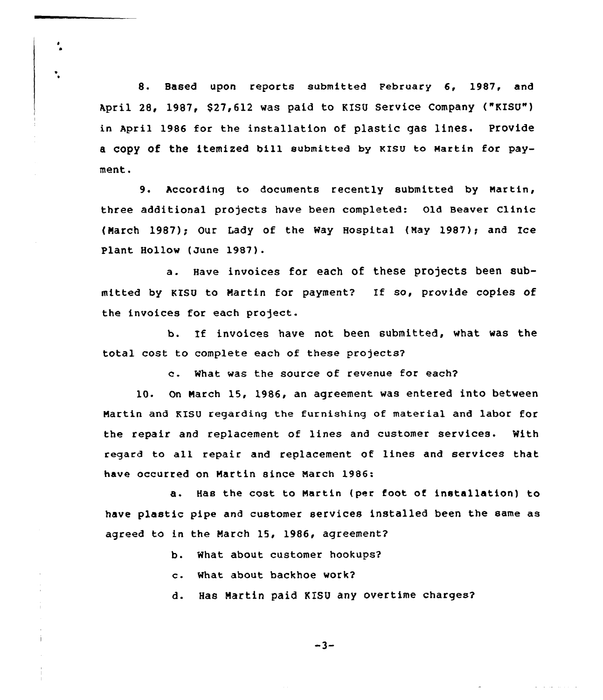8. Based upon reports submitted February 6, 1987, and April 28, 1987, \$27,612 was paid to KISU Service Company ("KISU") in April 1986 for the installation of plastic gas lines. Provide a copy of the itemized bill submitted by KISU to Martin for payment.

9. According to documents recently submitted by Martin, three additional projects have been completed: old Beaver Clinic (March 1987): Our Lady of the Way Hospital (May 1987); and Ice Plant Hollow (June 1987).

a. Have invoices for each of these projects been submitted by KISU to Martin for payment? If so, provide copies of the invoices for each project.

b. If invoices have not been submitted, what was the total cost to complete each of these projects?

c. What was the source of revenue for each?

10. On March 15, 1986, an agreement was entered into between Martin and KISU regarding the furnishing of material and labor for the repair and replacement of lines and customer services. With regard to all repair and replacement of lines and services that have occurred on Martin since March 1986:

a. Has the cost to Martin (per foot of installation) to have plastic pipe and customer services installed been the same as agreed to in the March 15, 1986, agreement?

- b. What about customer hookups?
- c. What about backhoe work?

d. Has Nartin paid KISU any overtime charges?

 $-3-$